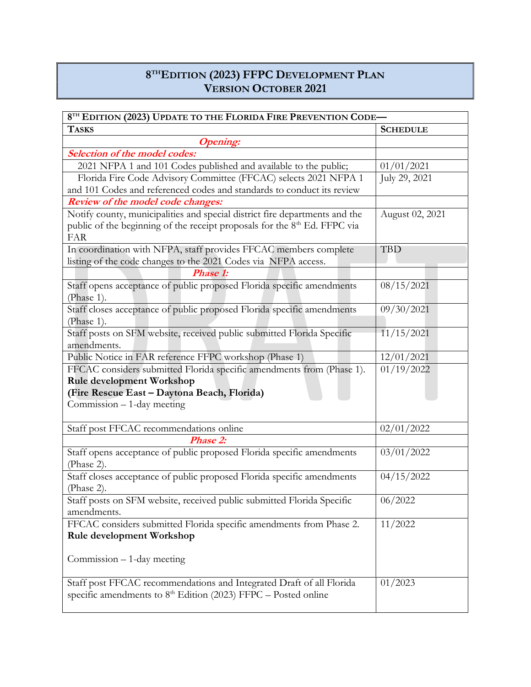## 8 THEDITION (2023) FFPC DEVELOPMENT PLAN VERSION OCTOBER 2021

| 8TH EDITION (2023) UPDATE TO THE FLORIDA FIRE PREVENTION CODE-                                      |                 |  |
|-----------------------------------------------------------------------------------------------------|-----------------|--|
| <b>TASKS</b>                                                                                        | <b>SCHEDULE</b> |  |
| <b>Opening:</b>                                                                                     |                 |  |
| <b>Selection of the model codes:</b>                                                                |                 |  |
| 2021 NFPA 1 and 101 Codes published and available to the public;                                    | 01/01/2021      |  |
| Florida Fire Code Advisory Committee (FFCAC) selects 2021 NFPA 1                                    | July 29, 2021   |  |
| and 101 Codes and referenced codes and standards to conduct its review                              |                 |  |
| <b>Review of the model code changes:</b>                                                            |                 |  |
| Notify county, municipalities and special district fire departments and the                         | August 02, 2021 |  |
| public of the beginning of the receipt proposals for the 8 <sup>th</sup> Ed. FFPC via<br><b>FAR</b> |                 |  |
| In coordination with NFPA, staff provides FFCAC members complete                                    | <b>TBD</b>      |  |
| listing of the code changes to the 2021 Codes via NFPA access.                                      |                 |  |
| Phase 1:                                                                                            |                 |  |
| Staff opens acceptance of public proposed Florida specific amendments                               | 08/15/2021      |  |
| (Phase 1).                                                                                          |                 |  |
| Staff closes acceptance of public proposed Florida specific amendments<br>(Phase 1).                | 09/30/2021      |  |
| Staff posts on SFM website, received public submitted Florida Specific                              | 11/15/2021      |  |
| amendments.                                                                                         |                 |  |
|                                                                                                     | 12/01/2021      |  |
| Public Notice in FAR reference FFPC workshop (Phase 1)                                              | 01/19/2022      |  |
| FFCAC considers submitted Florida specific amendments from (Phase 1).                               |                 |  |
| <b>Rule development Workshop</b>                                                                    |                 |  |
| (Fire Rescue East - Daytona Beach, Florida)                                                         |                 |  |
| Commission - 1-day meeting                                                                          |                 |  |
| Staff post FFCAC recommendations online                                                             | 02/01/2022      |  |
| <b>Phase 2:</b>                                                                                     |                 |  |
| Staff opens acceptance of public proposed Florida specific amendments                               | 03/01/2022      |  |
| (Phase 2).                                                                                          |                 |  |
| Staff closes acceptance of public proposed Florida specific amendments                              | 04/15/2022      |  |
| (Phase 2).                                                                                          |                 |  |
| Staff posts on SFM website, received public submitted Florida Specific                              | 06/2022         |  |
| amendments.                                                                                         |                 |  |
| FFCAC considers submitted Florida specific amendments from Phase 2.                                 | 11/2022         |  |
| Rule development Workshop                                                                           |                 |  |
|                                                                                                     |                 |  |
| Commission - 1-day meeting                                                                          |                 |  |
|                                                                                                     |                 |  |
| Staff post FFCAC recommendations and Integrated Draft of all Florida                                | 01/2023         |  |
| specific amendments to $8th$ Edition (2023) FFPC – Posted online                                    |                 |  |
|                                                                                                     |                 |  |